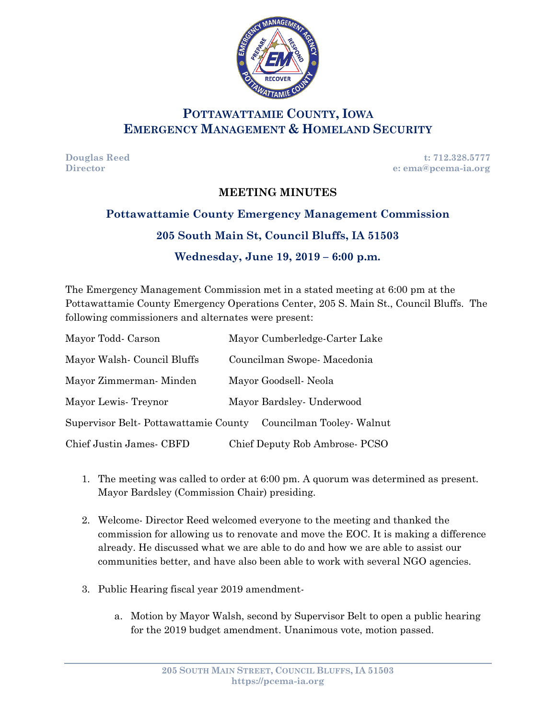

## **POTTAWATTAMIE COUNTY, IOWA EMERGENCY MANAGEMENT & HOMELAND SECURITY**

**Douglas Reed t: 712.328.5777 Director e: ema@pcema-ia.org**

#### **MEETING MINUTES**

# **Pottawattamie County Emergency Management Commission**

### **205 South Main St, Council Bluffs, IA 51503**

### **Wednesday, June 19, 2019 – 6:00 p.m.**

The Emergency Management Commission met in a stated meeting at 6:00 pm at the Pottawattamie County Emergency Operations Center, 205 S. Main St., Council Bluffs. The following commissioners and alternates were present:

| Mayor Todd Carson                    | Mayor Cumberledge-Carter Lake  |
|--------------------------------------|--------------------------------|
| Mayor Walsh-Council Bluffs           | Councilman Swope-Macedonia     |
| Mayor Zimmerman-Minden               | Mayor Goodsell-Neola           |
| Mayor Lewis Treynor                  | Mayor Bardsley - Underwood     |
| Supervisor Belt-Pottawattamie County | Councilman Tooley Walnut       |
| Chief Justin James - CBFD            | Chief Deputy Rob Ambrose- PCSO |

- 1. The meeting was called to order at 6:00 pm. A quorum was determined as present. Mayor Bardsley (Commission Chair) presiding.
- 2. Welcome- Director Reed welcomed everyone to the meeting and thanked the commission for allowing us to renovate and move the EOC. It is making a difference already. He discussed what we are able to do and how we are able to assist our communities better, and have also been able to work with several NGO agencies.
- 3. Public Hearing fiscal year 2019 amendment
	- a. Motion by Mayor Walsh, second by Supervisor Belt to open a public hearing for the 2019 budget amendment. Unanimous vote, motion passed.